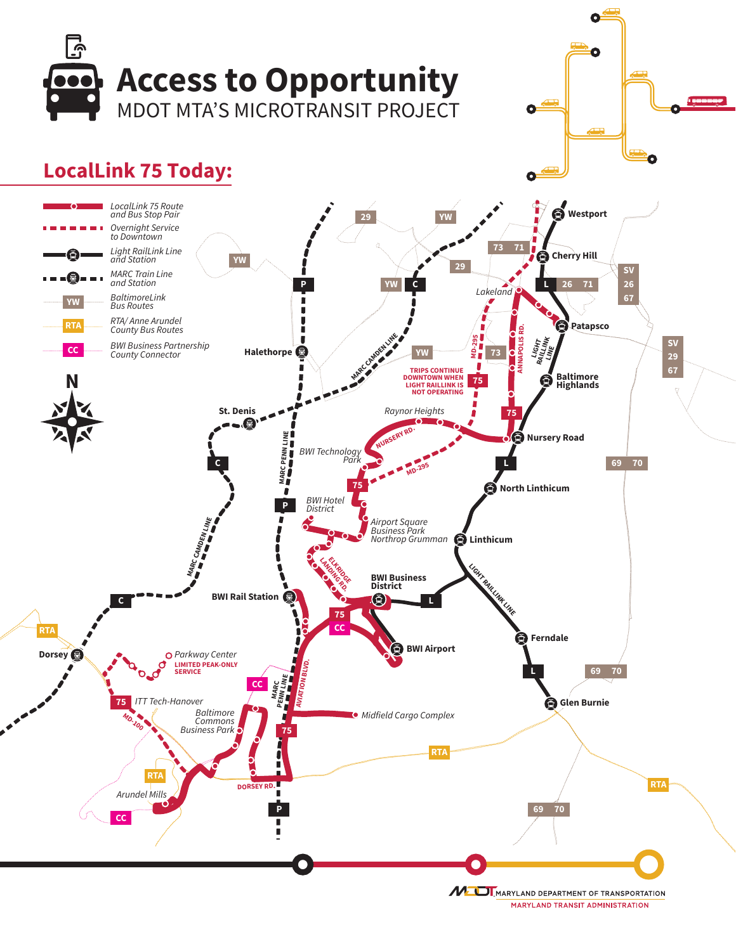